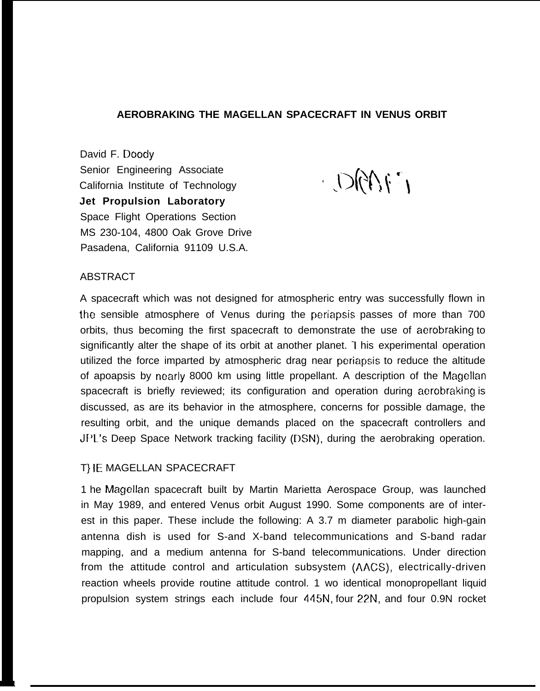# **AEROBRAKING THE MAGELLAN SPACECRAFT IN VENUS ORBIT**

David F. Doody Senior Engineering Associate Senior Engineering Associate<br>California Institute of Technology ( ) if  $\bigcup_{i=1}^n$ **Jet Propulsion Laboratory** Space Flight Operations Section MS 230-104, 4800 Oak Grove Drive Pasadena, California 91109 U.S.A.

### **ABSTRACT**

A

A spacecraft which was not designed for atmospheric entry was successfully flown in the sensible atmosphere of Venus during the periapsis passes of more than 700 orbits, thus becoming the first spacecraft to demonstrate the use of aerobraking to significantly alter the shape of its orbit at another planet. 1 his experimental operation utilized the force imparted by atmospheric drag near periapsis to reduce the altitude of apoapsis by nearly 8000 km using little propellant. A description of the Magellan spacecraft is briefly reviewed; its configuration and operation during aerobraking is discussed, as are its behavior in the atmosphere, concerns for possible damage, the resulting orbit, and the unique demands placed on the spacecraft controllers and JPL's Deep Space Network tracking facility (DSN), during the aerobraking operation.

# T} {E MAGELLAN SPACECRAFT

1 he Magellan spacecraft built by Martin Marietta Aerospace Group, was launched in May 1989, and entered Venus orbit August 1990. Some components are of interest in this paper. These include the following: A 3.7 m diameter parabolic high-gain antenna dish is used for S-and X-band telecommunications and S-band radar mapping, and a medium antenna for S-band telecommunications. Under direction from the attitude control and articulation subsystem (AACS), electrically-driven reaction wheels provide routine attitude control. 1 wo identical monopropellant liquid propulsion system strings each include four 445N, four 22N, and four 0.9N rocket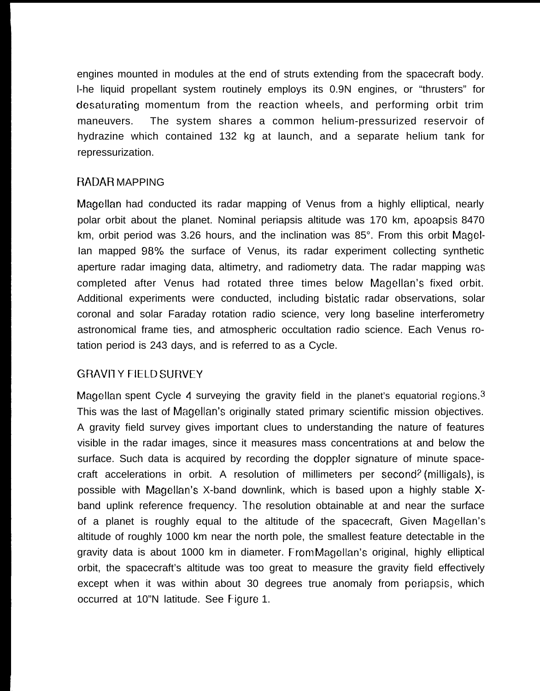engines mounted in modules at the end of struts extending from the spacecraft body. l-he liquid propellant system routinely employs its 0.9N engines, or "thrusters" for desaturating momentum from the reaction wheels, and performing orbit trim maneuvers. The system shares a common helium-pressurized reservoir of hydrazine which contained 132 kg at launch, and a separate helium tank for repressurization.

# RADAR MAPPING

Magellan had conducted its radar mapping of Venus from a highly elliptical, nearly polar orbit about the planet. Nominal periapsis altitude was 170 km, apoapsis 8470 km, orbit period was 3.26 hours, and the inclination was 85°. From this orbit Magellan mapped 98% the surface of Venus, its radar experiment collecting synthetic aperture radar imaging data, altimetry, and radiometry data. The radar mapping was completed after Venus had rotated three times below Magellan's fixed orbit. Additional experiments were conducted, including bistatic radar observations, solar coronal and solar Faraday rotation radio science, very long baseline interferometry astronomical frame ties, and atmospheric occultation radio science. Each Venus rotation period is 243 days, and is referred to as a Cycle.

# GRAVITY FIELD SURVEY

Magellan spent Cycle 4 surveying the gravity field in the planet's equatorial regions.<sup>3</sup> This was the last of Magellan's originally stated primary scientific mission objectives. A gravity field survey gives important clues to understanding the nature of features visible in the radar images, since it measures mass concentrations at and below the surface. Such data is acquired by recording the doppler signature of minute spacecraft accelerations in orbit. A resolution of millimeters per second? (milligals), is possible with Magellan's X-band downlink, which is based upon a highly stable Xband uplink reference frequency. The resolution obtainable at and near the surface of a planet is roughly equal to the altitude of the spacecraft, Given Magellan's altitude of roughly 1000 km near the north pole, the smallest feature detectable in the gravity data is about 1000 km in diameter. From Magellan's original, highly elliptical orbit, the spacecraft's altitude was too great to measure the gravity field effectively except when it was within about 30 degrees true anomaly from periapsis, which occurred at 10"N latitude. See Figure 1.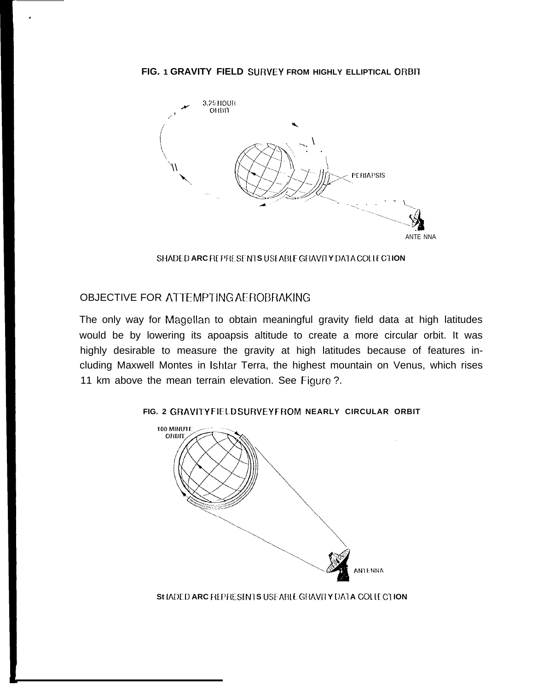### **FIG. 1 GRAVITY FIELD SURVEY FROM HIGHLY ELLIPTICAL ORBII**



**SHADED ARC REPRESENTS USEABLE GRAVITY DATA COLLECTION** 

# OBJECTIVE FOR ATTEMPTING AEROBRAKING

.

The only way for Magellan to obtain meaningful gravity field data at high latitudes would be by lowering its apoapsis altitude to create a more circular orbit. It was highly desirable to measure the gravity at high latitudes because of features including Maxwell Montes in Ishtar Terra, the highest mountain on Venus, which rises 11 km above the mean terrain elevation. See Figure ?.



### **FIG. 2 GRAVITY FIELD SURVEY FROM NEARLY CIRCULAR ORBIT**

**St IADED ARC REPRESENTS USEABLE GRAVITY DATA COLLEGTION**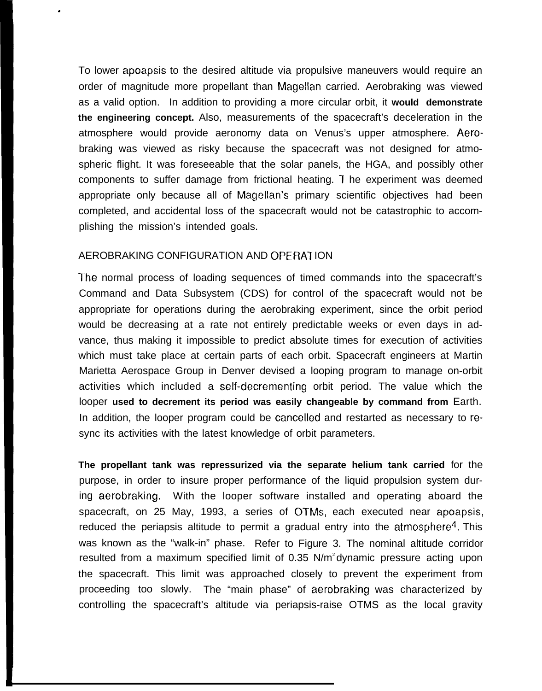To lower apoapsis to the desired altitude via propulsive maneuvers would require an order of magnitude more propellant than Magellan carried. Aerobraking was viewed as a valid option. In addition to providing a more circular orbit, it **would demonstrate the engineering concept.** Also, measurements of the spacecraft's deceleration in the atmosphere would provide aeronomy data on Venus's upper atmosphere. Aerobraking was viewed as risky because the spacecraft was not designed for atmospheric flight. It was foreseeable that the solar panels, the HGA, and possibly other components to suffer damage from frictional heating. 1 he experiment was deemed appropriate only because all of Magellan's primary scientific objectives had been completed, and accidental loss of the spacecraft would not be catastrophic to accomplishing the mission's intended goals.

# AEROBRAKING CONFIGURATION AND OPERATION

.

The normal process of loading sequences of timed commands into the spacecraft's Command and Data Subsystem (CDS) for control of the spacecraft would not be appropriate for operations during the aerobraking experiment, since the orbit period would be decreasing at a rate not entirely predictable weeks or even days in advance, thus making it impossible to predict absolute times for execution of activities which must take place at certain parts of each orbit. Spacecraft engineers at Martin Marietta Aerospace Group in Denver devised a looping program to manage on-orbit activities which included a self-decrementing orbit period. The value which the looper **used to decrement its period was easily changeable by command from** Earth. In addition, the looper program could be cancelled and restarted as necessary to resync its activities with the latest knowledge of orbit parameters.

**The propellant tank was repressurized via the separate helium tank carried** for the purpose, in order to insure proper performance of the liquid propulsion system during aerobraking. With the looper software installed and operating aboard the spacecraft, on 25 May, 1993, a series of OTMS, each executed near apoapsis, reduced the periapsis altitude to permit a gradual entry into the atmosphere<sup>4</sup>. This was known as the "walk-in" phase. Refer to Figure 3. The nominal altitude corridor resulted from a maximum specified limit of  $0.35$  N/m<sup>2</sup> dynamic pressure acting upon the spacecraft. This limit was approached closely to prevent the experiment from proceeding too slowly. The "main phase" of aerobraking was characterized by controlling the spacecraft's altitude via periapsis-raise OTMS as the local gravity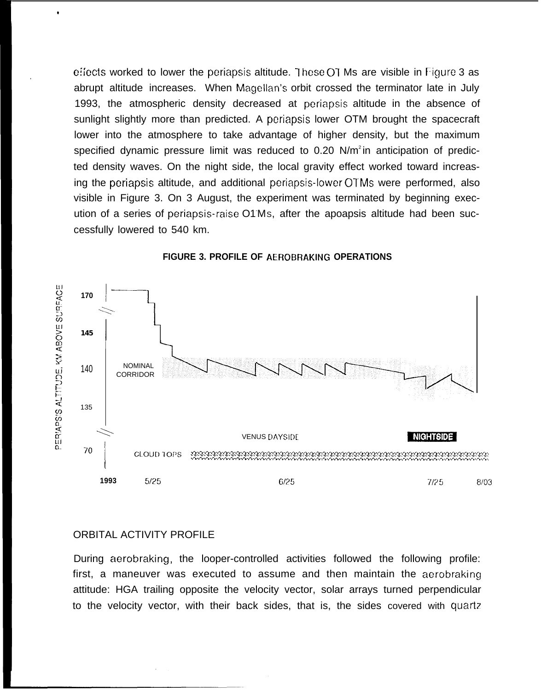**e!iects** worked to lower the periapsis altitude. <sup>7</sup> hese 01 Ms are visible in Figure 3 as abrupt altitude increases. When Magellan's orbit crossed the terminator late in July 1993, the atmospheric density decreased at periapsis altitude in the absence of sunlight slightly more than predicted. A periapsis lower OTM brought the spacecraft lower into the atmosphere to take advantage of higher density, but the maximum specified dynamic pressure limit was reduced to  $0.20 \text{ N/m}^2$  in anticipation of predicted density waves. On the night side, the local gravity effect worked toward increasing the periapsis altitude, and additional periapsis-lower OTMS were performed, also visible in Figure 3. On 3 August, the experiment was terminated by beginning execution of a series of periapsis-raise O1-MS, after the apoapsis altitude had been successfully lowered to 540 km.



#### **FIGURE 3. PROFILE OF AEROBRAKING OPERATIONS**

### ORBITAL ACTIVITY PROFILE

o

.

During aerobraking, the looper-controlled activities followed the following profile: first, a maneuver was executed to assume and then maintain the aerobraking attitude: HGA trailing opposite the velocity vector, solar arrays turned perpendicular to the velocity vector, with their back sides, that is, the sides covered with quartz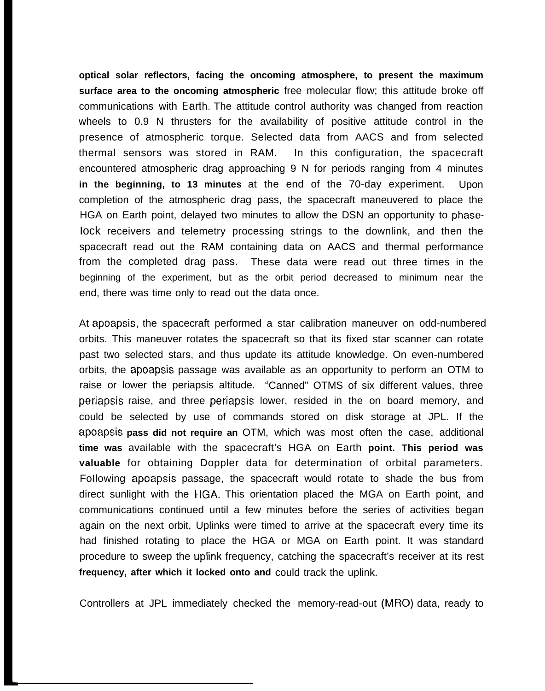**optical solar reflectors, facing the oncoming atmosphere, to present the maximum surface area to the oncoming atmospheric** free molecular flow; this attitude broke off communications with Earth. The attitude control authority was changed from reaction wheels to 0.9 N thrusters for the availability of positive attitude control in the presence of atmospheric torque. Selected data from AACS and from selected thermal sensors was stored in RAM. In this configuration, the spacecraft encountered atmospheric drag approaching 9 N for periods ranging from 4 minutes **in the beginning, to 13 minutes** at the end of the 70-day experiment. Upon completion of the atmospheric drag pass, the spacecraft maneuvered to place the HGA on Earth point, delayed two minutes to allow the DSN an opportunity to phase-Iock receivers and telemetry processing strings to the downlink, and then the spacecraft read out the RAM containing data on AACS and thermal performance from the completed drag pass. These data were read out three times in the beginning of the experiment, but as the orbit period decreased to minimum near the end, there was time only to read out the data once.

At apoapsis, the spacecraft performed a star calibration maneuver on odd-numbered orbits. This maneuver rotates the spacecraft so that its fixed star scanner can rotate past two selected stars, and thus update its attitude knowledge. On even-numbered orbits, the apoapsis passage was available as an opportunity to perform an OTM to raise or lower the periapsis altitude. ' (Canned" OTMS of six different values, three periapsis raise, and three periapsis lower, resided in the on board memory, and could be selected by use of commands stored on disk storage at JPL. If the **apoapsis pass did not require an** OTM, which was most often the case, additional **time was** available with the spacecraft's HGA on Earth **point. This period was valuable** for obtaining Doppler data for determination of orbital parameters. FoIlowing apoapsis passage, the spacecraft would rotate to shade the bus from direct sunlight with the HGA. This orientation placed the MGA on Earth point, and communications continued until a few minutes before the series of activities began again on the next orbit, Uplinks were timed to arrive at the spacecraft every time its had finished rotating to place the HGA or MGA on Earth point. It was standard procedure to sweep the uplink frequency, catching the spacecraft's receiver at its rest **frequency, after which it locked onto and** could track the uplink.

Controllers at JPL immediately checked the memory-read-out (MRO) data, ready to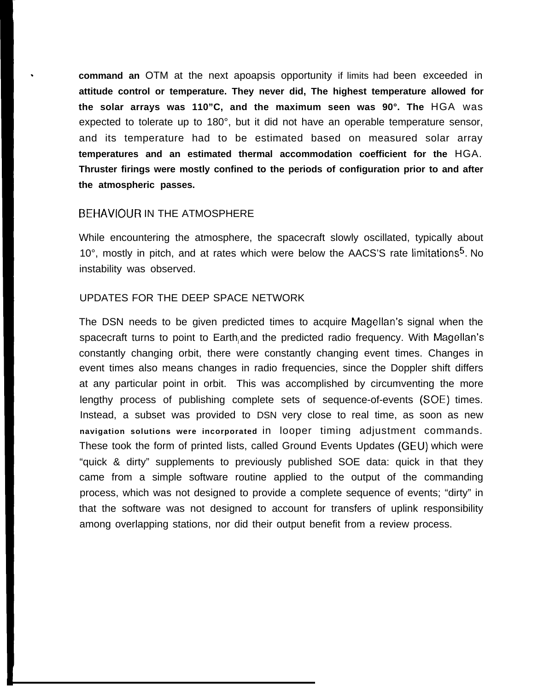. **command an** OTM at the next apoapsis opportunity if limits had been exceeded in **attitude control or temperature. They never did, The highest temperature allowed for the solar arrays was 110"C, and the maximum seen was 90°. The** HGA was expected to tolerate up to 180°, but it did not have an operable temperature sensor, and its temperature had to be estimated based on measured solar array **temperatures and an estimated thermal accommodation coefficient for the** HGA. **Thruster firings were mostly confined to the periods of configuration prior to and after the atmospheric passes.**

# BEHAVIOUR IN THE ATMOSPHERE

While encountering the atmosphere, the spacecraft slowly oscillated, typically about 10 $^{\circ}$ , mostly in pitch, and at rates which were below the AACS'S rate limitations<sup>5</sup>. No instability was observed.

## UPDATES FOR THE DEEP SPACE NETWORK

The DSN needs to be given predicted times to acquire Magellan's signal when the spacecraft turns to point to Earth and the predicted radio frequency. With Magellan's constantly changing orbit, there were constantly changing event times. Changes in event times also means changes in radio frequencies, since the Doppler shift differs at any particular point in orbit. This was accomplished by circumventing the more lengthy process of publishing complete sets of sequence-of-events (SOE) times. Instead, a subset was provided to DSN very close to real time, as soon as new **navigation solutions were incorporated** in looper timing adjustment commands. These took the form of printed lists, called Ground Events Updates (GEU) which were "quick & dirty" supplements to previously published SOE data: quick in that they came from a simple software routine applied to the output of the commanding process, which was not designed to provide a complete sequence of events; "dirty" in that the software was not designed to account for transfers of uplink responsibility among overlapping stations, nor did their output benefit from a review process.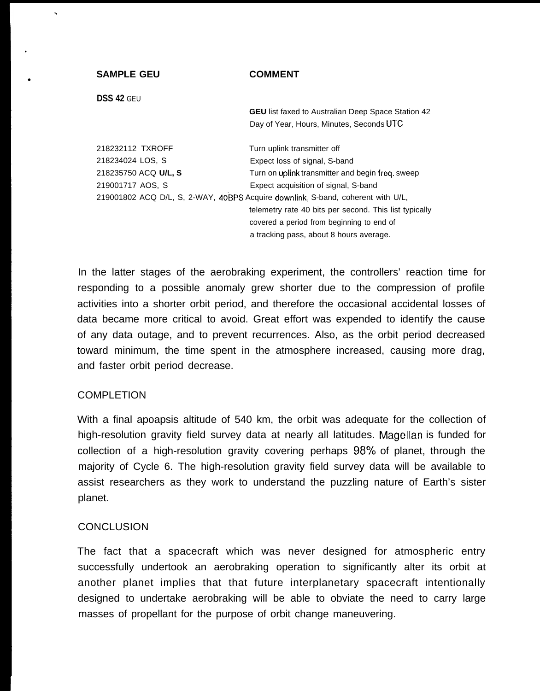### **SAMPLE GEU**

### **COMMENT**

**DSS 42** GEU

.

.

●

**GEU** list faxed to Australian Deep Space Station 42 Day of Year, Hours, Minutes, Seconds UTC

218232112 TXROFF Turn uplink transmitter off 218234024 LOS, S Expect loss of signal, S-band 218235750 ACQ **U/L, S** Turn on uplink transmitter and begin freq. sweep 219001717 AOS, S Expect acquisition of signal, S-band 219001802 ACQ D/L, S, 2-WAY, 40BPS Acquire downlink, S-band, coherent with U/L, telemetry rate 40 bits per second. This list typically covered a period from beginning to end of a tracking pass, about 8 hours average.

In the latter stages of the aerobraking experiment, the controllers' reaction time for responding to a possible anomaly grew shorter due to the compression of profile activities into a shorter orbit period, and therefore the occasional accidental losses of data became more critical to avoid. Great effort was expended to identify the cause of any data outage, and to prevent recurrences. Also, as the orbit period decreased toward minimum, the time spent in the atmosphere increased, causing more drag, and faster orbit period decrease.

# COMPLETION

With a final apoapsis altitude of 540 km, the orbit was adequate for the collection of high-resolution gravity field survey data at nearly all latitudes. Magellan is funded for collection of a high-resolution gravity covering perhaps  $98\%$  of planet, through the majority of Cycle 6. The high-resolution gravity field survey data will be available to assist researchers as they work to understand the puzzling nature of Earth's sister planet.

# **CONCLUSION**

The fact that a spacecraft which was never designed for atmospheric entry successfully undertook an aerobraking operation to significantly alter its orbit at another planet implies that that future interplanetary spacecraft intentionally designed to undertake aerobraking will be able to obviate the need to carry large masses of propellant for the purpose of orbit change maneuvering.